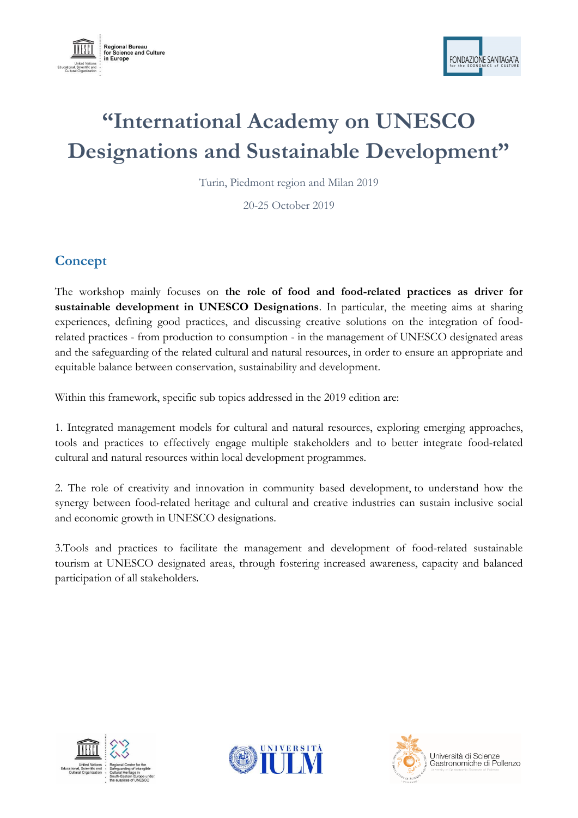



# **"International Academy on UNESCO Designations and Sustainable Development"**

Turin, Piedmont region and Milan 2019

20-25 October 2019

# **Concept**

The workshop mainly focuses on **the role of food and food-related practices as driver for sustainable development in UNESCO Designations**. In particular, the meeting aims at sharing experiences, defining good practices, and discussing creative solutions on the integration of foodrelated practices - from production to consumption - in the management of UNESCO designated areas and the safeguarding of the related cultural and natural resources, in order to ensure an appropriate and equitable balance between conservation, sustainability and development.

Within this framework, specific sub topics addressed in the 2019 edition are:

1. Integrated management models for cultural and natural resources, exploring emerging approaches, tools and practices to effectively engage multiple stakeholders and to better integrate food-related cultural and natural resources within local development programmes.

2. The role of creativity and innovation in community based development, to understand how the synergy between food-related heritage and cultural and creative industries can sustain inclusive social and economic growth in UNESCO designations.

3.Tools and practices to facilitate the management and development of food-related sustainable tourism at UNESCO designated areas, through fostering increased awareness, capacity and balanced participation of all stakeholders.







Università di Scienze Gastronomiche di Pollenzo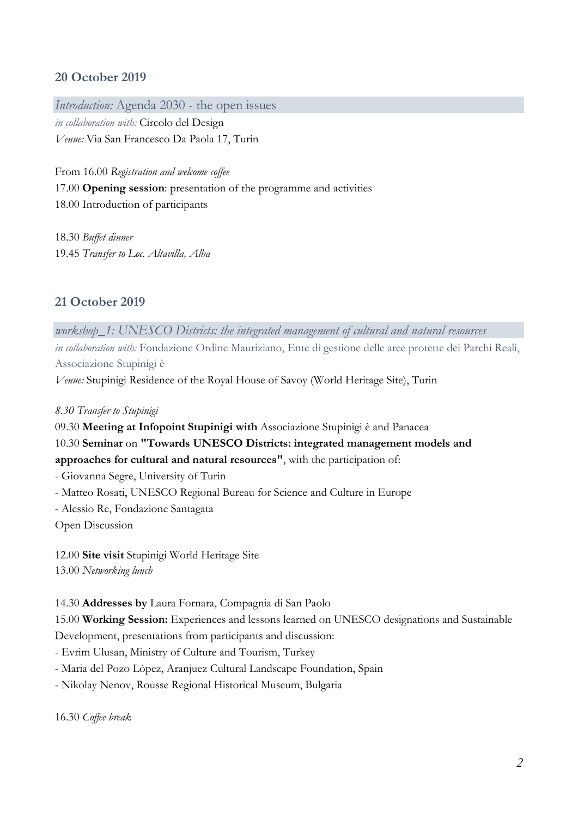## **20 October 2019**

*Introduction:* Agenda 2030 - the open issues

*in collaboration with:* Circolo del Design *Venue:* Via San Francesco Da Paola 17, Turin

From 16.00 *Registration and welcome coffee* 17.00 **Opening session**: presentation of the programme and activities 18.00 Introduction of participants

18.30 *Buffet dinner* 19.45 *Transfer to Loc. Altavilla, Alba*

## **21 October 2019**

*workshop\_1: UNESCO Districts: the integrated management of cultural and natural resources in collaboration with:* Fondazione Ordine Mauriziano, Ente di gestione delle aree protette dei Parchi Reali, Associazione Stupinigi è

*Venue:* Stupinigi Residence of the Royal House of Savoy (World Heritage Site), Turin

*8.30 Transfer to Stupinigi*

09.30 **Meeting at Infopoint Stupinigi with** Associazione Stupinigi è and Panacea

10.30 **Seminar** on **"Towards UNESCO Districts: integrated management models and**

**approaches for cultural and natural resources"**, with the participation of:

- Giovanna Segre, University of Turin

- Matteo Rosati, UNESCO Regional Bureau for Science and Culture in Europe
- Alessio Re, Fondazione Santagata

Open Discussion

12.00 **Site visit** Stupinigi World Heritage Site 13.00 *Networking lunch*

#### 14.30 **Addresses by** Laura Fornara, Compagnia di San Paolo

15.00 **Working Session:** Experiences and lessons learned on UNESCO designations and Sustainable

Development, presentations from participants and discussion:

- Evrim Ulusan, Ministry of Culture and Tourism, Turkey

- Maria del Pozo Lòpez, Aranjuez Cultural Landscape Foundation, Spain

- Nikolay Nenov, Rousse Regional Historical Museum, Bulgaria

16.30 *Coffee break*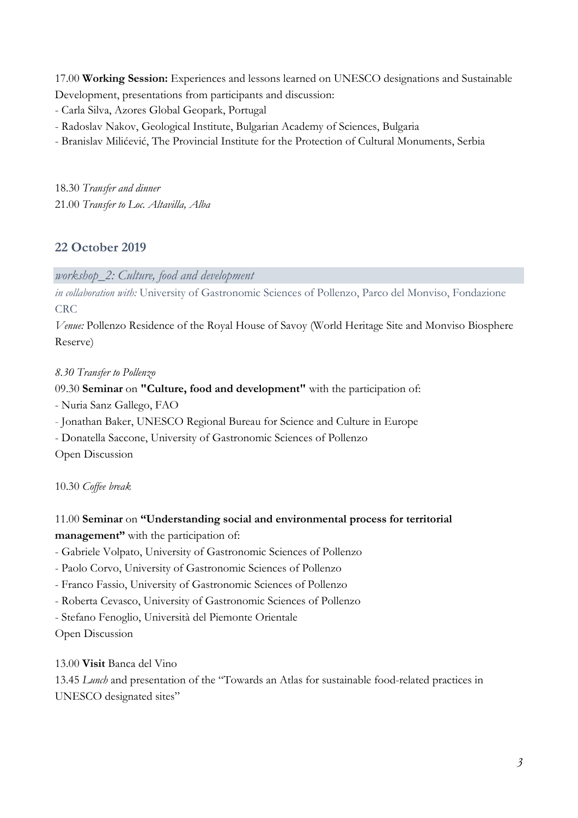17.00 **Working Session:** Experiences and lessons learned on UNESCO designations and Sustainable Development, presentations from participants and discussion:

- Carla Silva, Azores Global Geopark, Portugal
- Radoslav Nakov, Geological Institute, Bulgarian Academy of Sciences, Bulgaria
- Branislav Milićević, The Provincial Institute for the Protection of Cultural Monuments, Serbia

18.30 *Transfer and dinner* 21.00 *Transfer to Loc. Altavilla, Alba*

#### **22 October 2019**

*workshop\_2: Culture, food and development*

*in collaboration with:* University of Gastronomic Sciences of Pollenzo, Parco del Monviso, Fondazione CRC

*Venue:* Pollenzo Residence of the Royal House of Savoy (World Heritage Site and Monviso Biosphere Reserve)

#### *8.30 Transfer to Pollenzo*

09.30 **Seminar** on **"Culture, food and development"** with the participation of:

- Nuria Sanz Gallego, FAO

- Jonathan Baker, UNESCO Regional Bureau for Science and Culture in Europe
- Donatella Saccone, University of Gastronomic Sciences of Pollenzo

Open Discussion

10.30 *Coffee break*

### 11.00 **Seminar** on **"Understanding social and environmental process for territorial management"** with the participation of:

- Gabriele Volpato, University of Gastronomic Sciences of Pollenzo
- Paolo Corvo, University of Gastronomic Sciences of Pollenzo
- Franco Fassio, University of Gastronomic Sciences of Pollenzo
- Roberta Cevasco, University of Gastronomic Sciences of Pollenzo
- Stefano Fenoglio, Università del Piemonte Orientale
- Open Discussion

13.00 **Visit** Banca del Vino

13.45 *Lunch* and presentation of the "Towards an Atlas for sustainable food-related practices in UNESCO designated sites"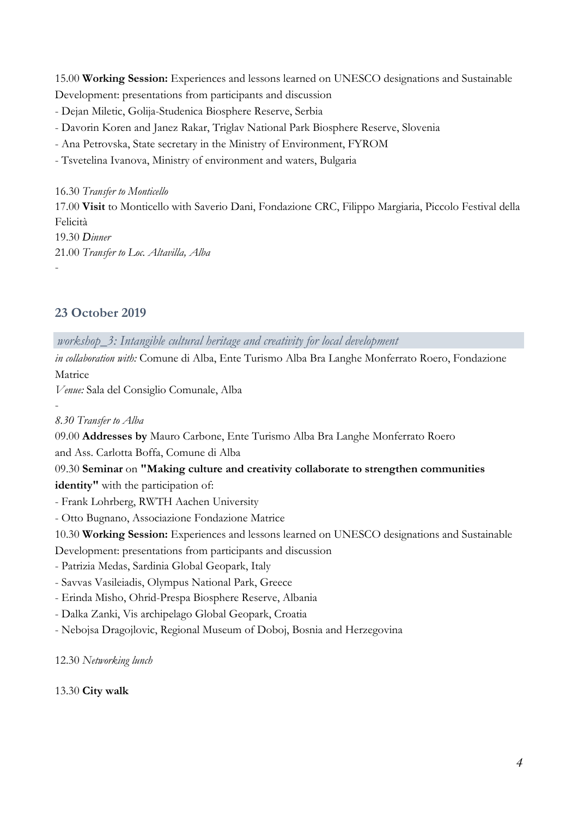15.00 **Working Session:** Experiences and lessons learned on UNESCO designations and Sustainable Development: presentations from participants and discussion

- Dejan Miletic, Golija-Studenica Biosphere Reserve, Serbia

- Davorin Koren and Janez Rakar, Triglav National Park Biosphere Reserve, Slovenia

- Ana Petrovska, State secretary in the Ministry of Environment, FYROM

- Tsvetelina Ivanova, Ministry of environment and waters, Bulgaria

16.30 *Transfer to Monticello* 17.00 **Visit** to Monticello with Saverio Dani, Fondazione CRC, Filippo Margiaria, Piccolo Festival della Felicità 19.30 *Dinner* 21.00 *Transfer to Loc. Altavilla, Alba* -

## **23 October 2019**

*workshop\_3: Intangible cultural heritage and creativity for local development*

*in collaboration with:* Comune di Alba, Ente Turismo Alba Bra Langhe Monferrato Roero, Fondazione Matrice

*Venue:* Sala del Consiglio Comunale, Alba

#### *8.30 Transfer to Alba*

-

09.00 **Addresses by** Mauro Carbone, Ente Turismo Alba Bra Langhe Monferrato Roero

and Ass. Carlotta Boffa, Comune di Alba

09.30 **Seminar** on **"Making culture and creativity collaborate to strengthen communities identity"** with the participation of:

- Frank Lohrberg, RWTH Aachen University
- Otto Bugnano, Associazione Fondazione Matrice

10.30 **Working Session:** Experiences and lessons learned on UNESCO designations and Sustainable

Development: presentations from participants and discussion

- Patrizia Medas, Sardinia Global Geopark, Italy
- Savvas Vasileiadis, Olympus National Park, Greece
- Erinda Misho, Ohrid-Prespa Biosphere Reserve, Albania
- Dalka Zanki, Vis archipelago Global Geopark, Croatia
- Nebojsa Dragojlovic, Regional Museum of Doboj, Bosnia and Herzegovina

12.30 *Networking lunch*

13.30 **City walk**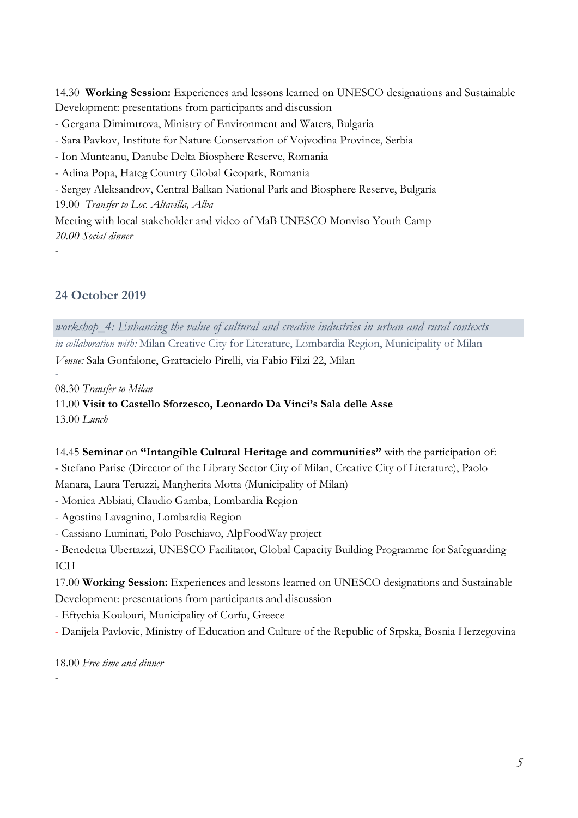14.30 **Working Session:** Experiences and lessons learned on UNESCO designations and Sustainable Development: presentations from participants and discussion

- Gergana Dimimtrova, Ministry of Environment and Waters, Bulgaria
- Sara Pavkov, Institute for Nature Conservation of Vojvodina Province, Serbia
- Ion Munteanu, Danube Delta Biosphere Reserve, Romania
- Adina Popa, Hateg Country Global Geopark, Romania
- Sergey Aleksandrov, Central Balkan National Park and Biosphere Reserve, Bulgaria

19.00 *Transfer to Loc. Altavilla, Alba*

Meeting with local stakeholder and video of MaB UNESCO Monviso Youth Camp *20.00 Social dinner*

-

-

#### **24 October 2019**

*workshop\_4: Enhancing the value of cultural and creative industries in urban and rural contexts in collaboration with:* Milan Creative City for Literature, Lombardia Region, Municipality of Milan *Venue:* Sala Gonfalone, Grattacielo Pirelli, via Fabio Filzi 22, Milan

08.30 *Transfer to Milan*

11.00 **Visit to Castello Sforzesco, Leonardo Da Vinci's Sala delle Asse** 13.00 *Lunch*

14.45 **Seminar** on **"Intangible Cultural Heritage and communities"** with the participation of: - Stefano Parise (Director of the Library Sector City of Milan, Creative City of Literature), Paolo Manara, Laura Teruzzi, Margherita Motta (Municipality of Milan)

- Monica Abbiati, Claudio Gamba, Lombardia Region

- Agostina Lavagnino, Lombardia Region

- Cassiano Luminati, Polo Poschiavo, AlpFoodWay project
- Benedetta Ubertazzi, UNESCO Facilitator, Global Capacity Building Programme for Safeguarding ICH

17.00 **Working Session:** Experiences and lessons learned on UNESCO designations and Sustainable Development: presentations from participants and discussion

- Eftychia Koulouri, Municipality of Corfu, Greece

- Danijela Pavlovic, Ministry of Education and Culture of the Republic of Srpska, Bosnia Herzegovina

18.00 *Free time and dinner*

-